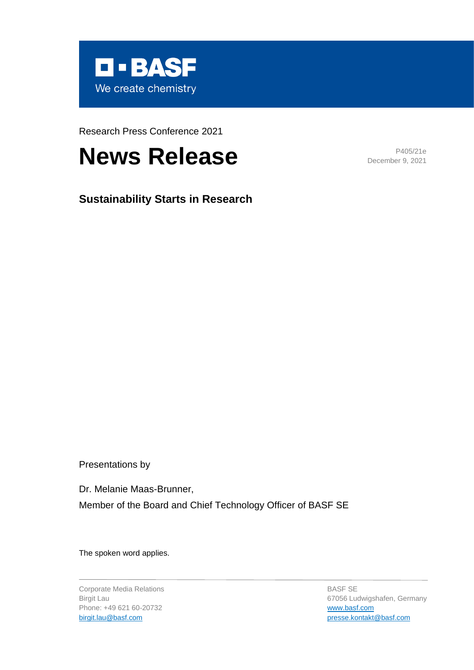

Research Press Conference 2021

# **News Release** P405/21e

December 9, 2021

**Sustainability Starts in Research**

Presentations by

Dr. Melanie Maas-Brunner, Member of the Board and Chief Technology Officer of BASF SE

The spoken word applies.

Corporate Media Relations Birgit Lau Phone: +49 621 60-20732 [birgit.lau@basf.com](mailto:birgit.lau@basf.com)

BASF SE 67056 Ludwigshafen, Germany [www.basf.com](https://www.basf.com/global/en.html) [presse.kontakt@basf.com](mailto:presse.kontakt@basf.com)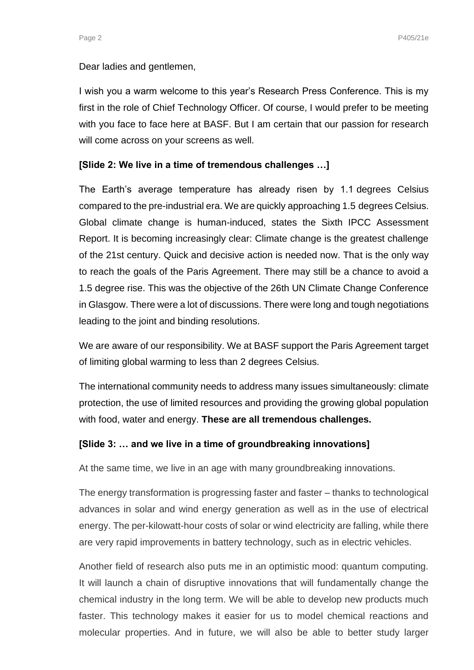Dear ladies and gentlemen,

I wish you a warm welcome to this year's Research Press Conference. This is my first in the role of Chief Technology Officer. Of course, I would prefer to be meeting with you face to face here at BASF. But I am certain that our passion for research will come across on your screens as well.

#### **[Slide 2: We live in a time of tremendous challenges …]**

The Earth's average temperature has already risen by 1.1 degrees Celsius compared to the pre-industrial era. We are quickly approaching 1.5 degrees Celsius. Global climate change is human-induced, states the Sixth IPCC Assessment Report. It is becoming increasingly clear: Climate change is the greatest challenge of the 21st century. Quick and decisive action is needed now. That is the only way to reach the goals of the Paris Agreement. There may still be a chance to avoid a 1.5 degree rise. This was the objective of the 26th UN Climate Change Conference in Glasgow. There were a lot of discussions. There were long and tough negotiations leading to the joint and binding resolutions.

We are aware of our responsibility. We at BASF support the Paris Agreement target of limiting global warming to less than 2 degrees Celsius.

The international community needs to address many issues simultaneously: climate protection, the use of limited resources and providing the growing global population with food, water and energy. **These are all tremendous challenges.**

#### **[Slide 3: … and we live in a time of groundbreaking innovations]**

At the same time, we live in an age with many groundbreaking innovations.

The energy transformation is progressing faster and faster – thanks to technological advances in solar and wind energy generation as well as in the use of electrical energy. The per-kilowatt-hour costs of solar or wind electricity are falling, while there are very rapid improvements in battery technology, such as in electric vehicles.

Another field of research also puts me in an optimistic mood: quantum computing. It will launch a chain of disruptive innovations that will fundamentally change the chemical industry in the long term. We will be able to develop new products much faster. This technology makes it easier for us to model chemical reactions and molecular properties. And in future, we will also be able to better study larger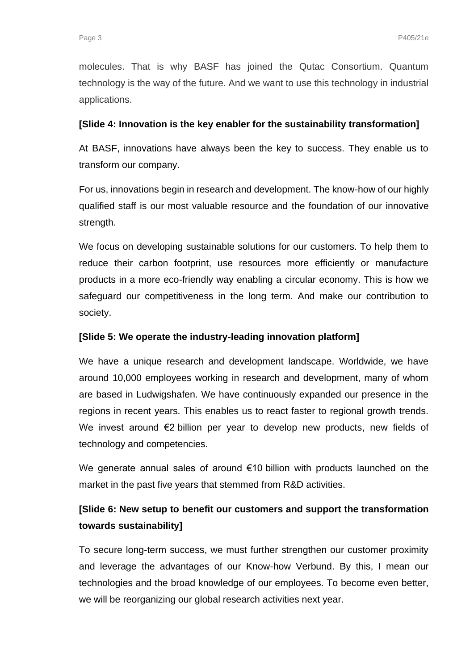molecules. That is why BASF has joined the Qutac Consortium. Quantum technology is the way of the future. And we want to use this technology in industrial applications.

## **[Slide 4: Innovation is the key enabler for the sustainability transformation]**

At BASF, innovations have always been the key to success. They enable us to transform our company.

For us, innovations begin in research and development. The know-how of our highly qualified staff is our most valuable resource and the foundation of our innovative strength.

We focus on developing sustainable solutions for our customers. To help them to reduce their carbon footprint, use resources more efficiently or manufacture products in a more eco-friendly way enabling a circular economy. This is how we safeguard our competitiveness in the long term. And make our contribution to society.

## **[Slide 5: We operate the industry-leading innovation platform]**

We have a unique research and development landscape. Worldwide, we have around 10,000 employees working in research and development, many of whom are based in Ludwigshafen. We have continuously expanded our presence in the regions in recent years. This enables us to react faster to regional growth trends. We invest around €2 billion per year to develop new products, new fields of technology and competencies.

We generate annual sales of around €10 billion with products launched on the market in the past five years that stemmed from R&D activities.

# **[Slide 6: New setup to benefit our customers and support the transformation towards sustainability]**

To secure long-term success, we must further strengthen our customer proximity and leverage the advantages of our Know-how Verbund. By this, I mean our technologies and the broad knowledge of our employees. To become even better, we will be reorganizing our global research activities next year.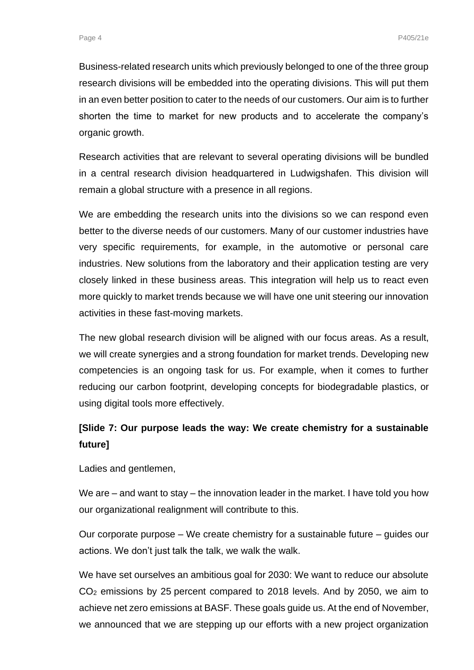Business-related research units which previously belonged to one of the three group research divisions will be embedded into the operating divisions. This will put them in an even better position to cater to the needs of our customers. Our aim is to further shorten the time to market for new products and to accelerate the company's organic growth.

Research activities that are relevant to several operating divisions will be bundled in a central research division headquartered in Ludwigshafen. This division will remain a global structure with a presence in all regions.

We are embedding the research units into the divisions so we can respond even better to the diverse needs of our customers. Many of our customer industries have very specific requirements, for example, in the automotive or personal care industries. New solutions from the laboratory and their application testing are very closely linked in these business areas. This integration will help us to react even more quickly to market trends because we will have one unit steering our innovation activities in these fast-moving markets.

The new global research division will be aligned with our focus areas. As a result, we will create synergies and a strong foundation for market trends. Developing new competencies is an ongoing task for us. For example, when it comes to further reducing our carbon footprint, developing concepts for biodegradable plastics, or using digital tools more effectively.

## **[Slide 7: Our purpose leads the way: We create chemistry for a sustainable future]**

Ladies and gentlemen.

We are – and want to stay – the innovation leader in the market. I have told you how our organizational realignment will contribute to this.

Our corporate purpose – We create chemistry for a sustainable future – guides our actions. We don't just talk the talk, we walk the walk.

We have set ourselves an ambitious goal for 2030: We want to reduce our absolute CO<sup>2</sup> emissions by 25 percent compared to 2018 levels. And by 2050, we aim to achieve net zero emissions at BASF. These goals guide us. At the end of November, we announced that we are stepping up our efforts with a new project organization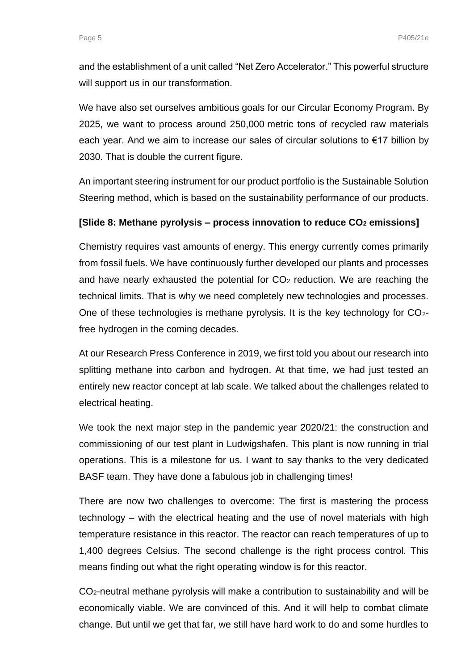and the establishment of a unit called "Net Zero Accelerator." This powerful structure will support us in our transformation.

We have also set ourselves ambitious goals for our Circular Economy Program. By 2025, we want to process around 250,000 metric tons of recycled raw materials each year. And we aim to increase our sales of circular solutions to €17 billion by 2030. That is double the current figure.

An important steering instrument for our product portfolio is the Sustainable Solution Steering method, which is based on the sustainability performance of our products.

### **[Slide 8: Methane pyrolysis – process innovation to reduce CO<sup>2</sup> emissions]**

Chemistry requires vast amounts of energy. This energy currently comes primarily from fossil fuels. We have continuously further developed our plants and processes and have nearly exhausted the potential for  $CO<sub>2</sub>$  reduction. We are reaching the technical limits. That is why we need completely new technologies and processes. One of these technologies is methane pyrolysis. It is the key technology for CO2 free hydrogen in the coming decades.

At our Research Press Conference in 2019, we first told you about our research into splitting methane into carbon and hydrogen. At that time, we had just tested an entirely new reactor concept at lab scale. We talked about the challenges related to electrical heating.

We took the next major step in the pandemic year 2020/21: the construction and commissioning of our test plant in Ludwigshafen. This plant is now running in trial operations. This is a milestone for us. I want to say thanks to the very dedicated BASF team. They have done a fabulous job in challenging times!

There are now two challenges to overcome: The first is mastering the process technology – with the electrical heating and the use of novel materials with high temperature resistance in this reactor. The reactor can reach temperatures of up to 1,400 degrees Celsius. The second challenge is the right process control. This means finding out what the right operating window is for this reactor.

CO2-neutral methane pyrolysis will make a contribution to sustainability and will be economically viable. We are convinced of this. And it will help to combat climate change. But until we get that far, we still have hard work to do and some hurdles to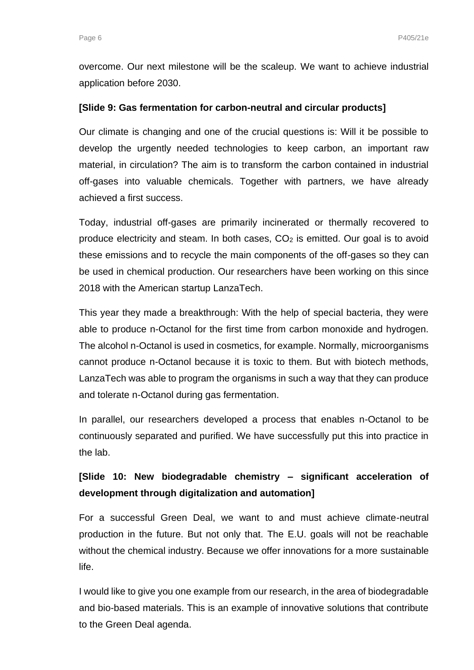overcome. Our next milestone will be the scaleup. We want to achieve industrial application before 2030.

#### **[Slide 9: Gas fermentation for carbon-neutral and circular products]**

Our climate is changing and one of the crucial questions is: Will it be possible to develop the urgently needed technologies to keep carbon, an important raw material, in circulation? The aim is to transform the carbon contained in industrial off-gases into valuable chemicals. Together with partners, we have already achieved a first success.

Today, industrial off-gases are primarily incinerated or thermally recovered to produce electricity and steam. In both cases,  $CO<sub>2</sub>$  is emitted. Our goal is to avoid these emissions and to recycle the main components of the off-gases so they can be used in chemical production. Our researchers have been working on this since 2018 with the American startup LanzaTech.

This year they made a breakthrough: With the help of special bacteria, they were able to produce n-Octanol for the first time from carbon monoxide and hydrogen. The alcohol n-Octanol is used in cosmetics, for example. Normally, microorganisms cannot produce n-Octanol because it is toxic to them. But with biotech methods, LanzaTech was able to program the organisms in such a way that they can produce and tolerate n-Octanol during gas fermentation.

In parallel, our researchers developed a process that enables n-Octanol to be continuously separated and purified. We have successfully put this into practice in the lab.

## **[Slide 10: New biodegradable chemistry – significant acceleration of development through digitalization and automation]**

For a successful Green Deal, we want to and must achieve climate-neutral production in the future. But not only that. The E.U. goals will not be reachable without the chemical industry. Because we offer innovations for a more sustainable life.

I would like to give you one example from our research, in the area of biodegradable and bio-based materials. This is an example of innovative solutions that contribute to the Green Deal agenda.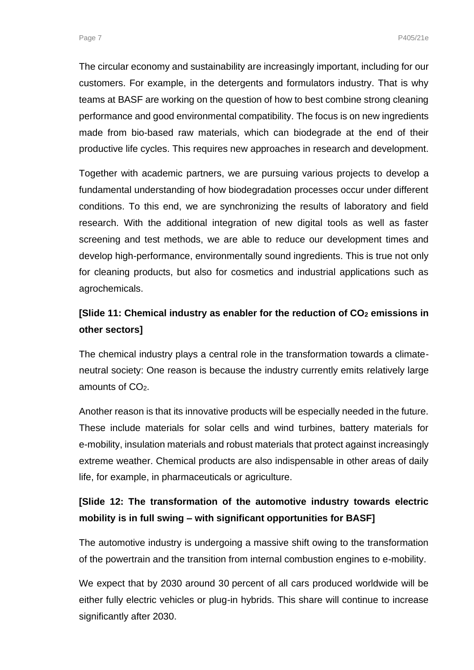The circular economy and sustainability are increasingly important, including for our customers. For example, in the detergents and formulators industry. That is why teams at BASF are working on the question of how to best combine strong cleaning performance and good environmental compatibility. The focus is on new ingredients made from bio-based raw materials, which can biodegrade at the end of their productive life cycles. This requires new approaches in research and development.

Together with academic partners, we are pursuing various projects to develop a fundamental understanding of how biodegradation processes occur under different conditions. To this end, we are synchronizing the results of laboratory and field research. With the additional integration of new digital tools as well as faster screening and test methods, we are able to reduce our development times and develop high-performance, environmentally sound ingredients. This is true not only for cleaning products, but also for cosmetics and industrial applications such as agrochemicals.

# **[Slide 11: Chemical industry as enabler for the reduction of CO<sup>2</sup> emissions in other sectors]**

The chemical industry plays a central role in the transformation towards a climateneutral society: One reason is because the industry currently emits relatively large amounts of CO<sub>2</sub>.

Another reason is that its innovative products will be especially needed in the future. These include materials for solar cells and wind turbines, battery materials for e-mobility, insulation materials and robust materials that protect against increasingly extreme weather. Chemical products are also indispensable in other areas of daily life, for example, in pharmaceuticals or agriculture.

# **[Slide 12: The transformation of the automotive industry towards electric mobility is in full swing – with significant opportunities for BASF]**

The automotive industry is undergoing a massive shift owing to the transformation of the powertrain and the transition from internal combustion engines to e-mobility.

We expect that by 2030 around 30 percent of all cars produced worldwide will be either fully electric vehicles or plug-in hybrids. This share will continue to increase significantly after 2030.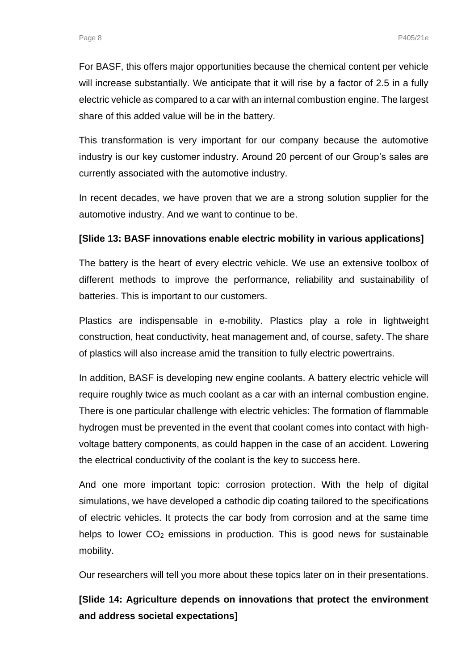For BASF, this offers major opportunities because the chemical content per vehicle will increase substantially. We anticipate that it will rise by a factor of 2.5 in a fully electric vehicle as compared to a car with an internal combustion engine. The largest share of this added value will be in the battery.

This transformation is very important for our company because the automotive industry is our key customer industry. Around 20 percent of our Group's sales are currently associated with the automotive industry.

In recent decades, we have proven that we are a strong solution supplier for the automotive industry. And we want to continue to be.

## **[Slide 13: BASF innovations enable electric mobility in various applications]**

The battery is the heart of every electric vehicle. We use an extensive toolbox of different methods to improve the performance, reliability and sustainability of batteries. This is important to our customers.

Plastics are indispensable in e-mobility. Plastics play a role in lightweight construction, heat conductivity, heat management and, of course, safety. The share of plastics will also increase amid the transition to fully electric powertrains.

In addition, BASF is developing new engine coolants. A battery electric vehicle will require roughly twice as much coolant as a car with an internal combustion engine. There is one particular challenge with electric vehicles: The formation of flammable hydrogen must be prevented in the event that coolant comes into contact with highvoltage battery components, as could happen in the case of an accident. Lowering the electrical conductivity of the coolant is the key to success here.

And one more important topic: corrosion protection. With the help of digital simulations, we have developed a cathodic dip coating tailored to the specifications of electric vehicles. It protects the car body from corrosion and at the same time helps to lower CO<sub>2</sub> emissions in production. This is good news for sustainable mobility.

Our researchers will tell you more about these topics later on in their presentations.

**[Slide 14: Agriculture depends on innovations that protect the environment and address societal expectations]**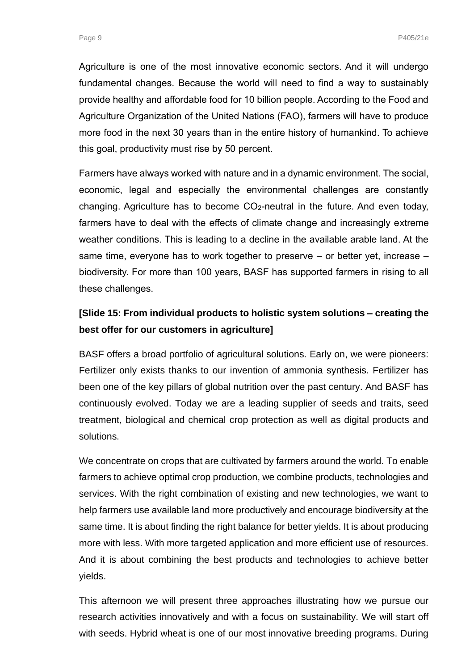Agriculture is one of the most innovative economic sectors. And it will undergo fundamental changes. Because the world will need to find a way to sustainably provide healthy and affordable food for 10 billion people. According to the Food and Agriculture Organization of the United Nations (FAO), farmers will have to produce more food in the next 30 years than in the entire history of humankind. To achieve this goal, productivity must rise by 50 percent.

Farmers have always worked with nature and in a dynamic environment. The social, economic, legal and especially the environmental challenges are constantly changing. Agriculture has to become CO2-neutral in the future. And even today, farmers have to deal with the effects of climate change and increasingly extreme weather conditions. This is leading to a decline in the available arable land. At the same time, everyone has to work together to preserve – or better yet, increase – biodiversity. For more than 100 years, BASF has supported farmers in rising to all these challenges.

## **[Slide 15: From individual products to holistic system solutions – creating the best offer for our customers in agriculture]**

BASF offers a broad portfolio of agricultural solutions. Early on, we were pioneers: Fertilizer only exists thanks to our invention of ammonia synthesis. Fertilizer has been one of the key pillars of global nutrition over the past century. And BASF has continuously evolved. Today we are a leading supplier of seeds and traits, seed treatment, biological and chemical crop protection as well as digital products and solutions.

We concentrate on crops that are cultivated by farmers around the world. To enable farmers to achieve optimal crop production, we combine products, technologies and services. With the right combination of existing and new technologies, we want to help farmers use available land more productively and encourage biodiversity at the same time. It is about finding the right balance for better yields. It is about producing more with less. With more targeted application and more efficient use of resources. And it is about combining the best products and technologies to achieve better yields.

This afternoon we will present three approaches illustrating how we pursue our research activities innovatively and with a focus on sustainability. We will start off with seeds. Hybrid wheat is one of our most innovative breeding programs. During